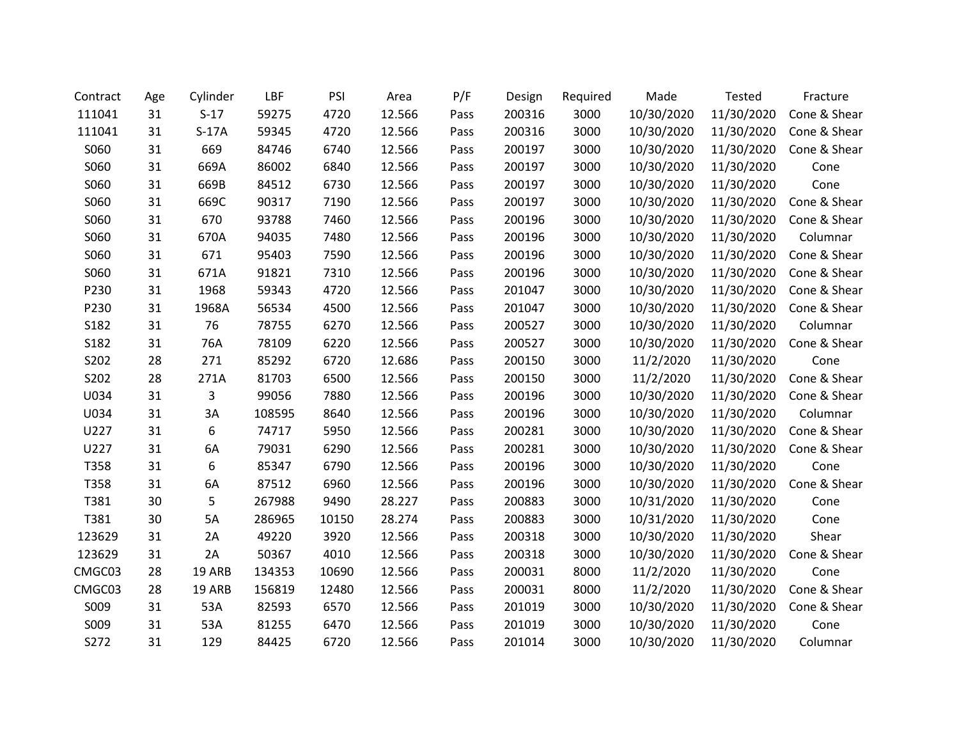| Contract | Age | Cylinder | LBF    | PSI   | Area   | P/F  | Design | Required | Made       | Tested     | Fracture     |
|----------|-----|----------|--------|-------|--------|------|--------|----------|------------|------------|--------------|
| 111041   | 31  | $S-17$   | 59275  | 4720  | 12.566 | Pass | 200316 | 3000     | 10/30/2020 | 11/30/2020 | Cone & Shear |
| 111041   | 31  | $S-17A$  | 59345  | 4720  | 12.566 | Pass | 200316 | 3000     | 10/30/2020 | 11/30/2020 | Cone & Shear |
| S060     | 31  | 669      | 84746  | 6740  | 12.566 | Pass | 200197 | 3000     | 10/30/2020 | 11/30/2020 | Cone & Shear |
| S060     | 31  | 669A     | 86002  | 6840  | 12.566 | Pass | 200197 | 3000     | 10/30/2020 | 11/30/2020 | Cone         |
| S060     | 31  | 669B     | 84512  | 6730  | 12.566 | Pass | 200197 | 3000     | 10/30/2020 | 11/30/2020 | Cone         |
| S060     | 31  | 669C     | 90317  | 7190  | 12.566 | Pass | 200197 | 3000     | 10/30/2020 | 11/30/2020 | Cone & Shear |
| S060     | 31  | 670      | 93788  | 7460  | 12.566 | Pass | 200196 | 3000     | 10/30/2020 | 11/30/2020 | Cone & Shear |
| S060     | 31  | 670A     | 94035  | 7480  | 12.566 | Pass | 200196 | 3000     | 10/30/2020 | 11/30/2020 | Columnar     |
| S060     | 31  | 671      | 95403  | 7590  | 12.566 | Pass | 200196 | 3000     | 10/30/2020 | 11/30/2020 | Cone & Shear |
| S060     | 31  | 671A     | 91821  | 7310  | 12.566 | Pass | 200196 | 3000     | 10/30/2020 | 11/30/2020 | Cone & Shear |
| P230     | 31  | 1968     | 59343  | 4720  | 12.566 | Pass | 201047 | 3000     | 10/30/2020 | 11/30/2020 | Cone & Shear |
| P230     | 31  | 1968A    | 56534  | 4500  | 12.566 | Pass | 201047 | 3000     | 10/30/2020 | 11/30/2020 | Cone & Shear |
| S182     | 31  | 76       | 78755  | 6270  | 12.566 | Pass | 200527 | 3000     | 10/30/2020 | 11/30/2020 | Columnar     |
| S182     | 31  | 76A      | 78109  | 6220  | 12.566 | Pass | 200527 | 3000     | 10/30/2020 | 11/30/2020 | Cone & Shear |
| S202     | 28  | 271      | 85292  | 6720  | 12.686 | Pass | 200150 | 3000     | 11/2/2020  | 11/30/2020 | Cone         |
| S202     | 28  | 271A     | 81703  | 6500  | 12.566 | Pass | 200150 | 3000     | 11/2/2020  | 11/30/2020 | Cone & Shear |
| U034     | 31  | 3        | 99056  | 7880  | 12.566 | Pass | 200196 | 3000     | 10/30/2020 | 11/30/2020 | Cone & Shear |
| U034     | 31  | 3A       | 108595 | 8640  | 12.566 | Pass | 200196 | 3000     | 10/30/2020 | 11/30/2020 | Columnar     |
| U227     | 31  | 6        | 74717  | 5950  | 12.566 | Pass | 200281 | 3000     | 10/30/2020 | 11/30/2020 | Cone & Shear |
| U227     | 31  | 6A       | 79031  | 6290  | 12.566 | Pass | 200281 | 3000     | 10/30/2020 | 11/30/2020 | Cone & Shear |
| T358     | 31  | 6        | 85347  | 6790  | 12.566 | Pass | 200196 | 3000     | 10/30/2020 | 11/30/2020 | Cone         |
| T358     | 31  | 6A       | 87512  | 6960  | 12.566 | Pass | 200196 | 3000     | 10/30/2020 | 11/30/2020 | Cone & Shear |
| T381     | 30  | 5        | 267988 | 9490  | 28.227 | Pass | 200883 | 3000     | 10/31/2020 | 11/30/2020 | Cone         |
| T381     | 30  | 5A       | 286965 | 10150 | 28.274 | Pass | 200883 | 3000     | 10/31/2020 | 11/30/2020 | Cone         |
| 123629   | 31  | 2A       | 49220  | 3920  | 12.566 | Pass | 200318 | 3000     | 10/30/2020 | 11/30/2020 | Shear        |
| 123629   | 31  | 2A       | 50367  | 4010  | 12.566 | Pass | 200318 | 3000     | 10/30/2020 | 11/30/2020 | Cone & Shear |
| CMGC03   | 28  | 19 ARB   | 134353 | 10690 | 12.566 | Pass | 200031 | 8000     | 11/2/2020  | 11/30/2020 | Cone         |
| CMGC03   | 28  | 19 ARB   | 156819 | 12480 | 12.566 | Pass | 200031 | 8000     | 11/2/2020  | 11/30/2020 | Cone & Shear |
| S009     | 31  | 53A      | 82593  | 6570  | 12.566 | Pass | 201019 | 3000     | 10/30/2020 | 11/30/2020 | Cone & Shear |
| S009     | 31  | 53A      | 81255  | 6470  | 12.566 | Pass | 201019 | 3000     | 10/30/2020 | 11/30/2020 | Cone         |
| S272     | 31  | 129      | 84425  | 6720  | 12.566 | Pass | 201014 | 3000     | 10/30/2020 | 11/30/2020 | Columnar     |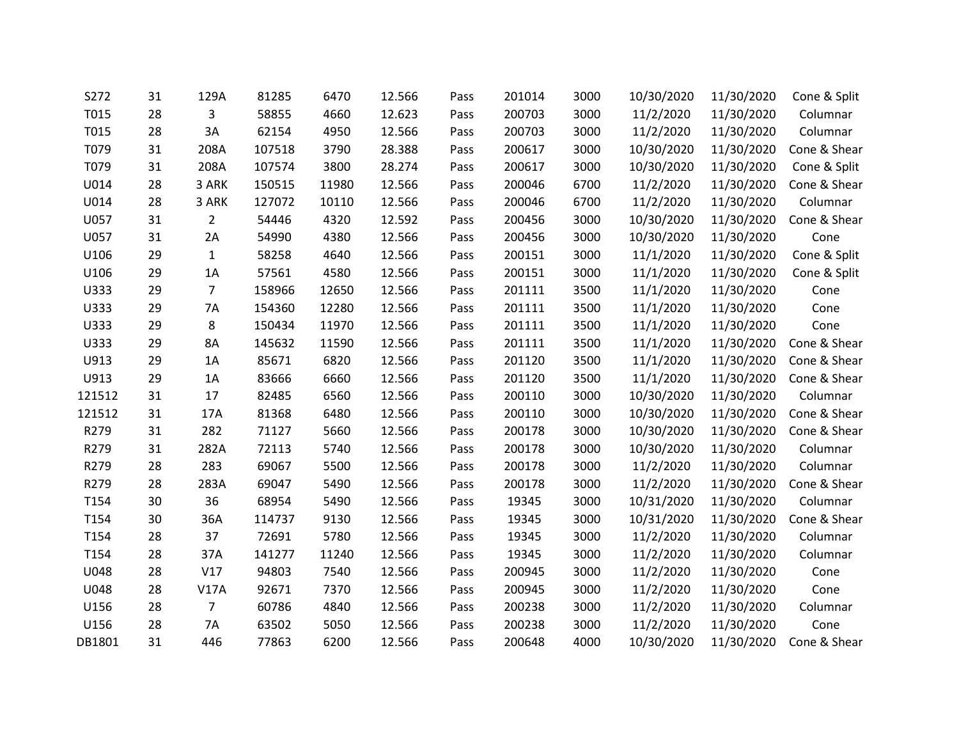| S272   | 31 | 129A           | 81285  | 6470  | 12.566 | Pass | 201014 | 3000 | 10/30/2020 | 11/30/2020 | Cone & Split |
|--------|----|----------------|--------|-------|--------|------|--------|------|------------|------------|--------------|
| T015   | 28 | 3              | 58855  | 4660  | 12.623 | Pass | 200703 | 3000 | 11/2/2020  | 11/30/2020 | Columnar     |
| T015   | 28 | 3A             | 62154  | 4950  | 12.566 | Pass | 200703 | 3000 | 11/2/2020  | 11/30/2020 | Columnar     |
| T079   | 31 | 208A           | 107518 | 3790  | 28.388 | Pass | 200617 | 3000 | 10/30/2020 | 11/30/2020 | Cone & Shear |
| T079   | 31 | 208A           | 107574 | 3800  | 28.274 | Pass | 200617 | 3000 | 10/30/2020 | 11/30/2020 | Cone & Split |
| U014   | 28 | 3 ARK          | 150515 | 11980 | 12.566 | Pass | 200046 | 6700 | 11/2/2020  | 11/30/2020 | Cone & Shear |
| U014   | 28 | 3 ARK          | 127072 | 10110 | 12.566 | Pass | 200046 | 6700 | 11/2/2020  | 11/30/2020 | Columnar     |
| U057   | 31 | 2              | 54446  | 4320  | 12.592 | Pass | 200456 | 3000 | 10/30/2020 | 11/30/2020 | Cone & Shear |
| U057   | 31 | 2A             | 54990  | 4380  | 12.566 | Pass | 200456 | 3000 | 10/30/2020 | 11/30/2020 | Cone         |
| U106   | 29 | $\mathbf{1}$   | 58258  | 4640  | 12.566 | Pass | 200151 | 3000 | 11/1/2020  | 11/30/2020 | Cone & Split |
| U106   | 29 | 1A             | 57561  | 4580  | 12.566 | Pass | 200151 | 3000 | 11/1/2020  | 11/30/2020 | Cone & Split |
| U333   | 29 | $\overline{7}$ | 158966 | 12650 | 12.566 | Pass | 201111 | 3500 | 11/1/2020  | 11/30/2020 | Cone         |
| U333   | 29 | 7A             | 154360 | 12280 | 12.566 | Pass | 201111 | 3500 | 11/1/2020  | 11/30/2020 | Cone         |
| U333   | 29 | 8              | 150434 | 11970 | 12.566 | Pass | 201111 | 3500 | 11/1/2020  | 11/30/2020 | Cone         |
| U333   | 29 | 8A             | 145632 | 11590 | 12.566 | Pass | 201111 | 3500 | 11/1/2020  | 11/30/2020 | Cone & Shear |
| U913   | 29 | 1A             | 85671  | 6820  | 12.566 | Pass | 201120 | 3500 | 11/1/2020  | 11/30/2020 | Cone & Shear |
| U913   | 29 | 1A             | 83666  | 6660  | 12.566 | Pass | 201120 | 3500 | 11/1/2020  | 11/30/2020 | Cone & Shear |
| 121512 | 31 | 17             | 82485  | 6560  | 12.566 | Pass | 200110 | 3000 | 10/30/2020 | 11/30/2020 | Columnar     |
| 121512 | 31 | 17A            | 81368  | 6480  | 12.566 | Pass | 200110 | 3000 | 10/30/2020 | 11/30/2020 | Cone & Shear |
| R279   | 31 | 282            | 71127  | 5660  | 12.566 | Pass | 200178 | 3000 | 10/30/2020 | 11/30/2020 | Cone & Shear |
| R279   | 31 | 282A           | 72113  | 5740  | 12.566 | Pass | 200178 | 3000 | 10/30/2020 | 11/30/2020 | Columnar     |
| R279   | 28 | 283            | 69067  | 5500  | 12.566 | Pass | 200178 | 3000 | 11/2/2020  | 11/30/2020 | Columnar     |
| R279   | 28 | 283A           | 69047  | 5490  | 12.566 | Pass | 200178 | 3000 | 11/2/2020  | 11/30/2020 | Cone & Shear |
| T154   | 30 | 36             | 68954  | 5490  | 12.566 | Pass | 19345  | 3000 | 10/31/2020 | 11/30/2020 | Columnar     |
| T154   | 30 | 36A            | 114737 | 9130  | 12.566 | Pass | 19345  | 3000 | 10/31/2020 | 11/30/2020 | Cone & Shear |
| T154   | 28 | 37             | 72691  | 5780  | 12.566 | Pass | 19345  | 3000 | 11/2/2020  | 11/30/2020 | Columnar     |
| T154   | 28 | 37A            | 141277 | 11240 | 12.566 | Pass | 19345  | 3000 | 11/2/2020  | 11/30/2020 | Columnar     |
| U048   | 28 | V17            | 94803  | 7540  | 12.566 | Pass | 200945 | 3000 | 11/2/2020  | 11/30/2020 | Cone         |
| U048   | 28 | <b>V17A</b>    | 92671  | 7370  | 12.566 | Pass | 200945 | 3000 | 11/2/2020  | 11/30/2020 | Cone         |
| U156   | 28 | 7              | 60786  | 4840  | 12.566 | Pass | 200238 | 3000 | 11/2/2020  | 11/30/2020 | Columnar     |
| U156   | 28 | <b>7A</b>      | 63502  | 5050  | 12.566 | Pass | 200238 | 3000 | 11/2/2020  | 11/30/2020 | Cone         |
| DB1801 | 31 | 446            | 77863  | 6200  | 12.566 | Pass | 200648 | 4000 | 10/30/2020 | 11/30/2020 | Cone & Shear |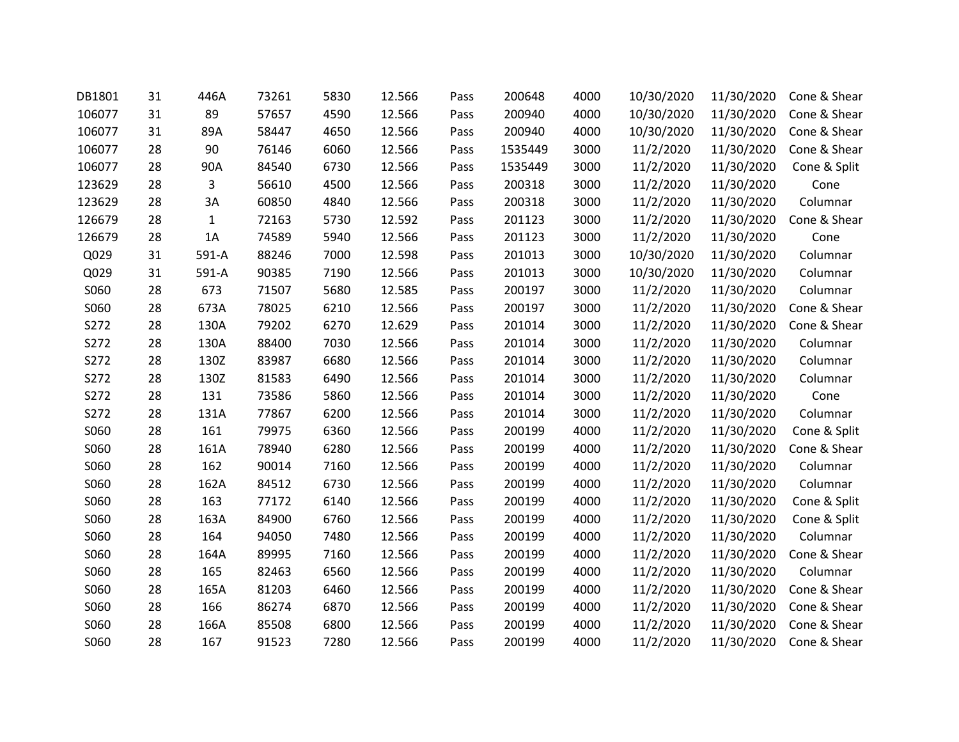| DB1801 | 31 | 446A  | 73261 | 5830 | 12.566 | Pass | 200648  | 4000 | 10/30/2020 | 11/30/2020 | Cone & Shear |
|--------|----|-------|-------|------|--------|------|---------|------|------------|------------|--------------|
| 106077 | 31 | 89    | 57657 | 4590 | 12.566 | Pass | 200940  | 4000 | 10/30/2020 | 11/30/2020 | Cone & Shear |
| 106077 | 31 | 89A   | 58447 | 4650 | 12.566 | Pass | 200940  | 4000 | 10/30/2020 | 11/30/2020 | Cone & Shear |
| 106077 | 28 | 90    | 76146 | 6060 | 12.566 | Pass | 1535449 | 3000 | 11/2/2020  | 11/30/2020 | Cone & Shear |
| 106077 | 28 | 90A   | 84540 | 6730 | 12.566 | Pass | 1535449 | 3000 | 11/2/2020  | 11/30/2020 | Cone & Split |
| 123629 | 28 | 3     | 56610 | 4500 | 12.566 | Pass | 200318  | 3000 | 11/2/2020  | 11/30/2020 | Cone         |
| 123629 | 28 | 3A    | 60850 | 4840 | 12.566 | Pass | 200318  | 3000 | 11/2/2020  | 11/30/2020 | Columnar     |
| 126679 | 28 | 1     | 72163 | 5730 | 12.592 | Pass | 201123  | 3000 | 11/2/2020  | 11/30/2020 | Cone & Shear |
| 126679 | 28 | 1A    | 74589 | 5940 | 12.566 | Pass | 201123  | 3000 | 11/2/2020  | 11/30/2020 | Cone         |
| Q029   | 31 | 591-A | 88246 | 7000 | 12.598 | Pass | 201013  | 3000 | 10/30/2020 | 11/30/2020 | Columnar     |
| Q029   | 31 | 591-A | 90385 | 7190 | 12.566 | Pass | 201013  | 3000 | 10/30/2020 | 11/30/2020 | Columnar     |
| S060   | 28 | 673   | 71507 | 5680 | 12.585 | Pass | 200197  | 3000 | 11/2/2020  | 11/30/2020 | Columnar     |
| S060   | 28 | 673A  | 78025 | 6210 | 12.566 | Pass | 200197  | 3000 | 11/2/2020  | 11/30/2020 | Cone & Shear |
| S272   | 28 | 130A  | 79202 | 6270 | 12.629 | Pass | 201014  | 3000 | 11/2/2020  | 11/30/2020 | Cone & Shear |
| S272   | 28 | 130A  | 88400 | 7030 | 12.566 | Pass | 201014  | 3000 | 11/2/2020  | 11/30/2020 | Columnar     |
| S272   | 28 | 130Z  | 83987 | 6680 | 12.566 | Pass | 201014  | 3000 | 11/2/2020  | 11/30/2020 | Columnar     |
| S272   | 28 | 130Z  | 81583 | 6490 | 12.566 | Pass | 201014  | 3000 | 11/2/2020  | 11/30/2020 | Columnar     |
| S272   | 28 | 131   | 73586 | 5860 | 12.566 | Pass | 201014  | 3000 | 11/2/2020  | 11/30/2020 | Cone         |
| S272   | 28 | 131A  | 77867 | 6200 | 12.566 | Pass | 201014  | 3000 | 11/2/2020  | 11/30/2020 | Columnar     |
| S060   | 28 | 161   | 79975 | 6360 | 12.566 | Pass | 200199  | 4000 | 11/2/2020  | 11/30/2020 | Cone & Split |
| S060   | 28 | 161A  | 78940 | 6280 | 12.566 | Pass | 200199  | 4000 | 11/2/2020  | 11/30/2020 | Cone & Shear |
| S060   | 28 | 162   | 90014 | 7160 | 12.566 | Pass | 200199  | 4000 | 11/2/2020  | 11/30/2020 | Columnar     |
| S060   | 28 | 162A  | 84512 | 6730 | 12.566 | Pass | 200199  | 4000 | 11/2/2020  | 11/30/2020 | Columnar     |
| S060   | 28 | 163   | 77172 | 6140 | 12.566 | Pass | 200199  | 4000 | 11/2/2020  | 11/30/2020 | Cone & Split |
| S060   | 28 | 163A  | 84900 | 6760 | 12.566 | Pass | 200199  | 4000 | 11/2/2020  | 11/30/2020 | Cone & Split |
| S060   | 28 | 164   | 94050 | 7480 | 12.566 | Pass | 200199  | 4000 | 11/2/2020  | 11/30/2020 | Columnar     |
| S060   | 28 | 164A  | 89995 | 7160 | 12.566 | Pass | 200199  | 4000 | 11/2/2020  | 11/30/2020 | Cone & Shear |
| S060   | 28 | 165   | 82463 | 6560 | 12.566 | Pass | 200199  | 4000 | 11/2/2020  | 11/30/2020 | Columnar     |
| S060   | 28 | 165A  | 81203 | 6460 | 12.566 | Pass | 200199  | 4000 | 11/2/2020  | 11/30/2020 | Cone & Shear |
| S060   | 28 | 166   | 86274 | 6870 | 12.566 | Pass | 200199  | 4000 | 11/2/2020  | 11/30/2020 | Cone & Shear |
| S060   | 28 | 166A  | 85508 | 6800 | 12.566 | Pass | 200199  | 4000 | 11/2/2020  | 11/30/2020 | Cone & Shear |
| S060   | 28 | 167   | 91523 | 7280 | 12.566 | Pass | 200199  | 4000 | 11/2/2020  | 11/30/2020 | Cone & Shear |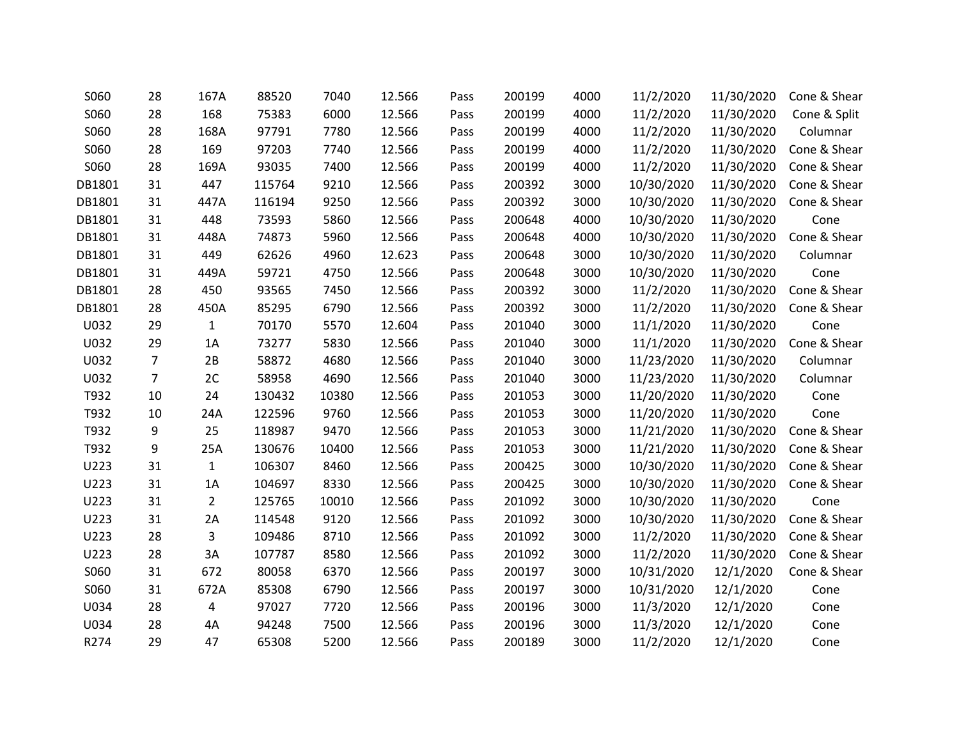| S060   | 28             | 167A           | 88520  | 7040  | 12.566 | Pass | 200199 | 4000 | 11/2/2020  | 11/30/2020 | Cone & Shear |
|--------|----------------|----------------|--------|-------|--------|------|--------|------|------------|------------|--------------|
| S060   | 28             | 168            | 75383  | 6000  | 12.566 | Pass | 200199 | 4000 | 11/2/2020  | 11/30/2020 | Cone & Split |
| S060   | 28             | 168A           | 97791  | 7780  | 12.566 | Pass | 200199 | 4000 | 11/2/2020  | 11/30/2020 | Columnar     |
| S060   | 28             | 169            | 97203  | 7740  | 12.566 | Pass | 200199 | 4000 | 11/2/2020  | 11/30/2020 | Cone & Shear |
| S060   | 28             | 169A           | 93035  | 7400  | 12.566 | Pass | 200199 | 4000 | 11/2/2020  | 11/30/2020 | Cone & Shear |
| DB1801 | 31             | 447            | 115764 | 9210  | 12.566 | Pass | 200392 | 3000 | 10/30/2020 | 11/30/2020 | Cone & Shear |
| DB1801 | 31             | 447A           | 116194 | 9250  | 12.566 | Pass | 200392 | 3000 | 10/30/2020 | 11/30/2020 | Cone & Shear |
| DB1801 | 31             | 448            | 73593  | 5860  | 12.566 | Pass | 200648 | 4000 | 10/30/2020 | 11/30/2020 | Cone         |
| DB1801 | 31             | 448A           | 74873  | 5960  | 12.566 | Pass | 200648 | 4000 | 10/30/2020 | 11/30/2020 | Cone & Shear |
| DB1801 | 31             | 449            | 62626  | 4960  | 12.623 | Pass | 200648 | 3000 | 10/30/2020 | 11/30/2020 | Columnar     |
| DB1801 | 31             | 449A           | 59721  | 4750  | 12.566 | Pass | 200648 | 3000 | 10/30/2020 | 11/30/2020 | Cone         |
| DB1801 | 28             | 450            | 93565  | 7450  | 12.566 | Pass | 200392 | 3000 | 11/2/2020  | 11/30/2020 | Cone & Shear |
| DB1801 | 28             | 450A           | 85295  | 6790  | 12.566 | Pass | 200392 | 3000 | 11/2/2020  | 11/30/2020 | Cone & Shear |
| U032   | 29             | $\mathbf{1}$   | 70170  | 5570  | 12.604 | Pass | 201040 | 3000 | 11/1/2020  | 11/30/2020 | Cone         |
| U032   | 29             | 1A             | 73277  | 5830  | 12.566 | Pass | 201040 | 3000 | 11/1/2020  | 11/30/2020 | Cone & Shear |
| U032   | 7              | 2B             | 58872  | 4680  | 12.566 | Pass | 201040 | 3000 | 11/23/2020 | 11/30/2020 | Columnar     |
| U032   | $\overline{7}$ | 2C             | 58958  | 4690  | 12.566 | Pass | 201040 | 3000 | 11/23/2020 | 11/30/2020 | Columnar     |
| T932   | 10             | 24             | 130432 | 10380 | 12.566 | Pass | 201053 | 3000 | 11/20/2020 | 11/30/2020 | Cone         |
| T932   | 10             | 24A            | 122596 | 9760  | 12.566 | Pass | 201053 | 3000 | 11/20/2020 | 11/30/2020 | Cone         |
| T932   | 9              | 25             | 118987 | 9470  | 12.566 | Pass | 201053 | 3000 | 11/21/2020 | 11/30/2020 | Cone & Shear |
| T932   | 9              | 25A            | 130676 | 10400 | 12.566 | Pass | 201053 | 3000 | 11/21/2020 | 11/30/2020 | Cone & Shear |
| U223   | 31             | 1              | 106307 | 8460  | 12.566 | Pass | 200425 | 3000 | 10/30/2020 | 11/30/2020 | Cone & Shear |
| U223   | 31             | 1A             | 104697 | 8330  | 12.566 | Pass | 200425 | 3000 | 10/30/2020 | 11/30/2020 | Cone & Shear |
| U223   | 31             | $\overline{2}$ | 125765 | 10010 | 12.566 | Pass | 201092 | 3000 | 10/30/2020 | 11/30/2020 | Cone         |
| U223   | 31             | 2A             | 114548 | 9120  | 12.566 | Pass | 201092 | 3000 | 10/30/2020 | 11/30/2020 | Cone & Shear |
| U223   | 28             | 3              | 109486 | 8710  | 12.566 | Pass | 201092 | 3000 | 11/2/2020  | 11/30/2020 | Cone & Shear |
| U223   | 28             | 3A             | 107787 | 8580  | 12.566 | Pass | 201092 | 3000 | 11/2/2020  | 11/30/2020 | Cone & Shear |
| S060   | 31             | 672            | 80058  | 6370  | 12.566 | Pass | 200197 | 3000 | 10/31/2020 | 12/1/2020  | Cone & Shear |
| S060   | 31             | 672A           | 85308  | 6790  | 12.566 | Pass | 200197 | 3000 | 10/31/2020 | 12/1/2020  | Cone         |
| U034   | 28             | 4              | 97027  | 7720  | 12.566 | Pass | 200196 | 3000 | 11/3/2020  | 12/1/2020  | Cone         |
| U034   | 28             | 4Α             | 94248  | 7500  | 12.566 | Pass | 200196 | 3000 | 11/3/2020  | 12/1/2020  | Cone         |
| R274   | 29             | 47             | 65308  | 5200  | 12.566 | Pass | 200189 | 3000 | 11/2/2020  | 12/1/2020  | Cone         |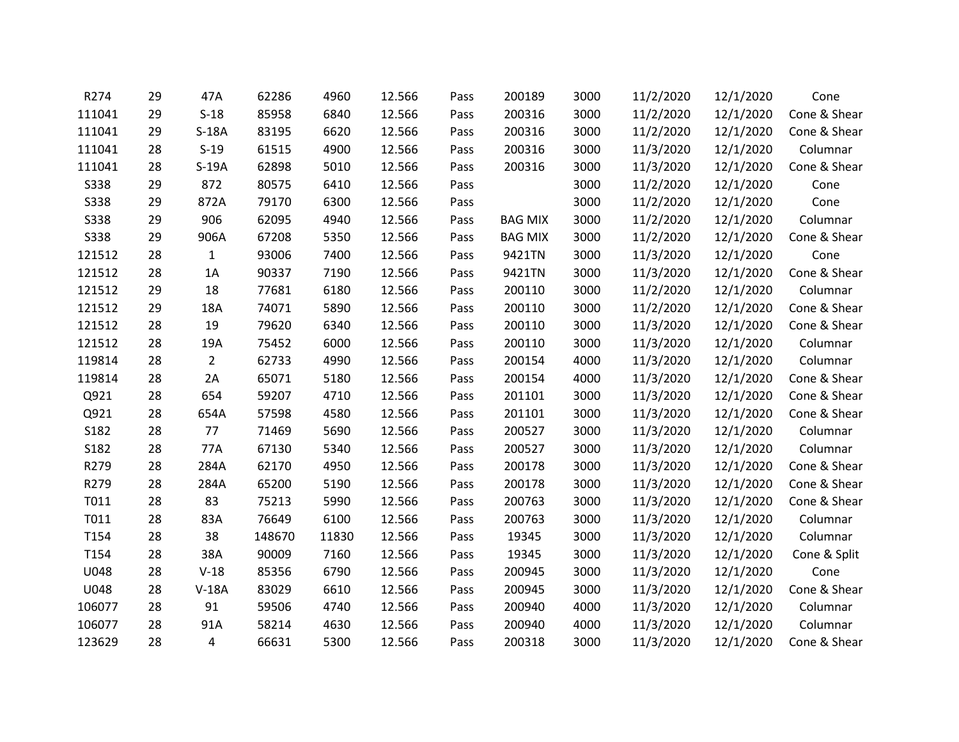| R274        | 29 | 47A            | 62286  | 4960  | 12.566 | Pass | 200189         | 3000 | 11/2/2020 | 12/1/2020 | Cone         |
|-------------|----|----------------|--------|-------|--------|------|----------------|------|-----------|-----------|--------------|
| 111041      | 29 | $S-18$         | 85958  | 6840  | 12.566 | Pass | 200316         | 3000 | 11/2/2020 | 12/1/2020 | Cone & Shear |
| 111041      | 29 | $S-18A$        | 83195  | 6620  | 12.566 | Pass | 200316         | 3000 | 11/2/2020 | 12/1/2020 | Cone & Shear |
| 111041      | 28 | $S-19$         | 61515  | 4900  | 12.566 | Pass | 200316         | 3000 | 11/3/2020 | 12/1/2020 | Columnar     |
| 111041      | 28 | $S-19A$        | 62898  | 5010  | 12.566 | Pass | 200316         | 3000 | 11/3/2020 | 12/1/2020 | Cone & Shear |
| <b>S338</b> | 29 | 872            | 80575  | 6410  | 12.566 | Pass |                | 3000 | 11/2/2020 | 12/1/2020 | Cone         |
| <b>S338</b> | 29 | 872A           | 79170  | 6300  | 12.566 | Pass |                | 3000 | 11/2/2020 | 12/1/2020 | Cone         |
| <b>S338</b> | 29 | 906            | 62095  | 4940  | 12.566 | Pass | <b>BAG MIX</b> | 3000 | 11/2/2020 | 12/1/2020 | Columnar     |
| <b>S338</b> | 29 | 906A           | 67208  | 5350  | 12.566 | Pass | <b>BAG MIX</b> | 3000 | 11/2/2020 | 12/1/2020 | Cone & Shear |
| 121512      | 28 | $\mathbf{1}$   | 93006  | 7400  | 12.566 | Pass | 9421TN         | 3000 | 11/3/2020 | 12/1/2020 | Cone         |
| 121512      | 28 | 1A             | 90337  | 7190  | 12.566 | Pass | 9421TN         | 3000 | 11/3/2020 | 12/1/2020 | Cone & Shear |
| 121512      | 29 | 18             | 77681  | 6180  | 12.566 | Pass | 200110         | 3000 | 11/2/2020 | 12/1/2020 | Columnar     |
| 121512      | 29 | 18A            | 74071  | 5890  | 12.566 | Pass | 200110         | 3000 | 11/2/2020 | 12/1/2020 | Cone & Shear |
| 121512      | 28 | 19             | 79620  | 6340  | 12.566 | Pass | 200110         | 3000 | 11/3/2020 | 12/1/2020 | Cone & Shear |
| 121512      | 28 | 19A            | 75452  | 6000  | 12.566 | Pass | 200110         | 3000 | 11/3/2020 | 12/1/2020 | Columnar     |
| 119814      | 28 | $\overline{2}$ | 62733  | 4990  | 12.566 | Pass | 200154         | 4000 | 11/3/2020 | 12/1/2020 | Columnar     |
| 119814      | 28 | 2A             | 65071  | 5180  | 12.566 | Pass | 200154         | 4000 | 11/3/2020 | 12/1/2020 | Cone & Shear |
| Q921        | 28 | 654            | 59207  | 4710  | 12.566 | Pass | 201101         | 3000 | 11/3/2020 | 12/1/2020 | Cone & Shear |
| Q921        | 28 | 654A           | 57598  | 4580  | 12.566 | Pass | 201101         | 3000 | 11/3/2020 | 12/1/2020 | Cone & Shear |
| S182        | 28 | 77             | 71469  | 5690  | 12.566 | Pass | 200527         | 3000 | 11/3/2020 | 12/1/2020 | Columnar     |
| S182        | 28 | 77A            | 67130  | 5340  | 12.566 | Pass | 200527         | 3000 | 11/3/2020 | 12/1/2020 | Columnar     |
| R279        | 28 | 284A           | 62170  | 4950  | 12.566 | Pass | 200178         | 3000 | 11/3/2020 | 12/1/2020 | Cone & Shear |
| R279        | 28 | 284A           | 65200  | 5190  | 12.566 | Pass | 200178         | 3000 | 11/3/2020 | 12/1/2020 | Cone & Shear |
| T011        | 28 | 83             | 75213  | 5990  | 12.566 | Pass | 200763         | 3000 | 11/3/2020 | 12/1/2020 | Cone & Shear |
| T011        | 28 | 83A            | 76649  | 6100  | 12.566 | Pass | 200763         | 3000 | 11/3/2020 | 12/1/2020 | Columnar     |
| T154        | 28 | 38             | 148670 | 11830 | 12.566 | Pass | 19345          | 3000 | 11/3/2020 | 12/1/2020 | Columnar     |
| T154        | 28 | 38A            | 90009  | 7160  | 12.566 | Pass | 19345          | 3000 | 11/3/2020 | 12/1/2020 | Cone & Split |
| U048        | 28 | $V-18$         | 85356  | 6790  | 12.566 | Pass | 200945         | 3000 | 11/3/2020 | 12/1/2020 | Cone         |
| U048        | 28 | $V-18A$        | 83029  | 6610  | 12.566 | Pass | 200945         | 3000 | 11/3/2020 | 12/1/2020 | Cone & Shear |
| 106077      | 28 | 91             | 59506  | 4740  | 12.566 | Pass | 200940         | 4000 | 11/3/2020 | 12/1/2020 | Columnar     |
| 106077      | 28 | 91A            | 58214  | 4630  | 12.566 | Pass | 200940         | 4000 | 11/3/2020 | 12/1/2020 | Columnar     |
| 123629      | 28 | 4              | 66631  | 5300  | 12.566 | Pass | 200318         | 3000 | 11/3/2020 | 12/1/2020 | Cone & Shear |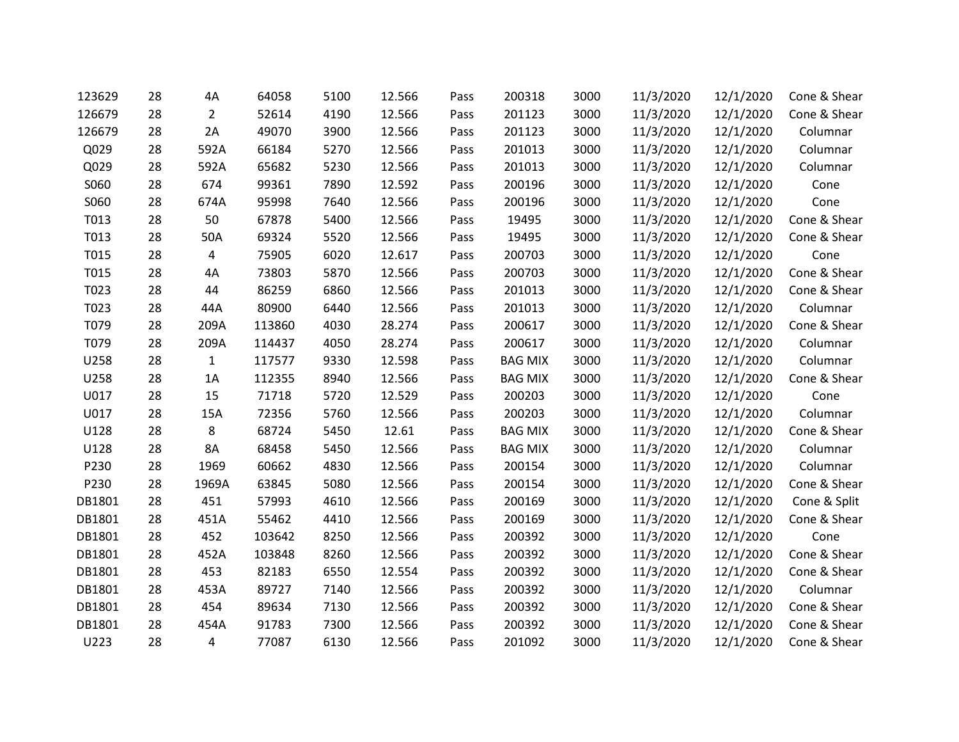| 123629 | 28 | 4Α             | 64058  | 5100 | 12.566 | Pass | 200318         | 3000 | 11/3/2020 | 12/1/2020 | Cone & Shear |
|--------|----|----------------|--------|------|--------|------|----------------|------|-----------|-----------|--------------|
| 126679 | 28 | $\overline{2}$ | 52614  | 4190 | 12.566 | Pass | 201123         | 3000 | 11/3/2020 | 12/1/2020 | Cone & Shear |
| 126679 | 28 | 2A             | 49070  | 3900 | 12.566 | Pass | 201123         | 3000 | 11/3/2020 | 12/1/2020 | Columnar     |
| Q029   | 28 | 592A           | 66184  | 5270 | 12.566 | Pass | 201013         | 3000 | 11/3/2020 | 12/1/2020 | Columnar     |
| Q029   | 28 | 592A           | 65682  | 5230 | 12.566 | Pass | 201013         | 3000 | 11/3/2020 | 12/1/2020 | Columnar     |
| S060   | 28 | 674            | 99361  | 7890 | 12.592 | Pass | 200196         | 3000 | 11/3/2020 | 12/1/2020 | Cone         |
| S060   | 28 | 674A           | 95998  | 7640 | 12.566 | Pass | 200196         | 3000 | 11/3/2020 | 12/1/2020 | Cone         |
| T013   | 28 | 50             | 67878  | 5400 | 12.566 | Pass | 19495          | 3000 | 11/3/2020 | 12/1/2020 | Cone & Shear |
| T013   | 28 | 50A            | 69324  | 5520 | 12.566 | Pass | 19495          | 3000 | 11/3/2020 | 12/1/2020 | Cone & Shear |
| T015   | 28 | 4              | 75905  | 6020 | 12.617 | Pass | 200703         | 3000 | 11/3/2020 | 12/1/2020 | Cone         |
| T015   | 28 | 4A             | 73803  | 5870 | 12.566 | Pass | 200703         | 3000 | 11/3/2020 | 12/1/2020 | Cone & Shear |
| T023   | 28 | 44             | 86259  | 6860 | 12.566 | Pass | 201013         | 3000 | 11/3/2020 | 12/1/2020 | Cone & Shear |
| T023   | 28 | 44A            | 80900  | 6440 | 12.566 | Pass | 201013         | 3000 | 11/3/2020 | 12/1/2020 | Columnar     |
| T079   | 28 | 209A           | 113860 | 4030 | 28.274 | Pass | 200617         | 3000 | 11/3/2020 | 12/1/2020 | Cone & Shear |
| T079   | 28 | 209A           | 114437 | 4050 | 28.274 | Pass | 200617         | 3000 | 11/3/2020 | 12/1/2020 | Columnar     |
| U258   | 28 | $\mathbf{1}$   | 117577 | 9330 | 12.598 | Pass | <b>BAG MIX</b> | 3000 | 11/3/2020 | 12/1/2020 | Columnar     |
| U258   | 28 | 1A             | 112355 | 8940 | 12.566 | Pass | <b>BAG MIX</b> | 3000 | 11/3/2020 | 12/1/2020 | Cone & Shear |
| U017   | 28 | 15             | 71718  | 5720 | 12.529 | Pass | 200203         | 3000 | 11/3/2020 | 12/1/2020 | Cone         |
| U017   | 28 | 15A            | 72356  | 5760 | 12.566 | Pass | 200203         | 3000 | 11/3/2020 | 12/1/2020 | Columnar     |
| U128   | 28 | 8              | 68724  | 5450 | 12.61  | Pass | <b>BAG MIX</b> | 3000 | 11/3/2020 | 12/1/2020 | Cone & Shear |
| U128   | 28 | 8A             | 68458  | 5450 | 12.566 | Pass | <b>BAG MIX</b> | 3000 | 11/3/2020 | 12/1/2020 | Columnar     |
| P230   | 28 | 1969           | 60662  | 4830 | 12.566 | Pass | 200154         | 3000 | 11/3/2020 | 12/1/2020 | Columnar     |
| P230   | 28 | 1969A          | 63845  | 5080 | 12.566 | Pass | 200154         | 3000 | 11/3/2020 | 12/1/2020 | Cone & Shear |
| DB1801 | 28 | 451            | 57993  | 4610 | 12.566 | Pass | 200169         | 3000 | 11/3/2020 | 12/1/2020 | Cone & Split |
| DB1801 | 28 | 451A           | 55462  | 4410 | 12.566 | Pass | 200169         | 3000 | 11/3/2020 | 12/1/2020 | Cone & Shear |
| DB1801 | 28 | 452            | 103642 | 8250 | 12.566 | Pass | 200392         | 3000 | 11/3/2020 | 12/1/2020 | Cone         |
| DB1801 | 28 | 452A           | 103848 | 8260 | 12.566 | Pass | 200392         | 3000 | 11/3/2020 | 12/1/2020 | Cone & Shear |
| DB1801 | 28 | 453            | 82183  | 6550 | 12.554 | Pass | 200392         | 3000 | 11/3/2020 | 12/1/2020 | Cone & Shear |
| DB1801 | 28 | 453A           | 89727  | 7140 | 12.566 | Pass | 200392         | 3000 | 11/3/2020 | 12/1/2020 | Columnar     |
| DB1801 | 28 | 454            | 89634  | 7130 | 12.566 | Pass | 200392         | 3000 | 11/3/2020 | 12/1/2020 | Cone & Shear |
| DB1801 | 28 | 454A           | 91783  | 7300 | 12.566 | Pass | 200392         | 3000 | 11/3/2020 | 12/1/2020 | Cone & Shear |
| U223   | 28 | 4              | 77087  | 6130 | 12.566 | Pass | 201092         | 3000 | 11/3/2020 | 12/1/2020 | Cone & Shear |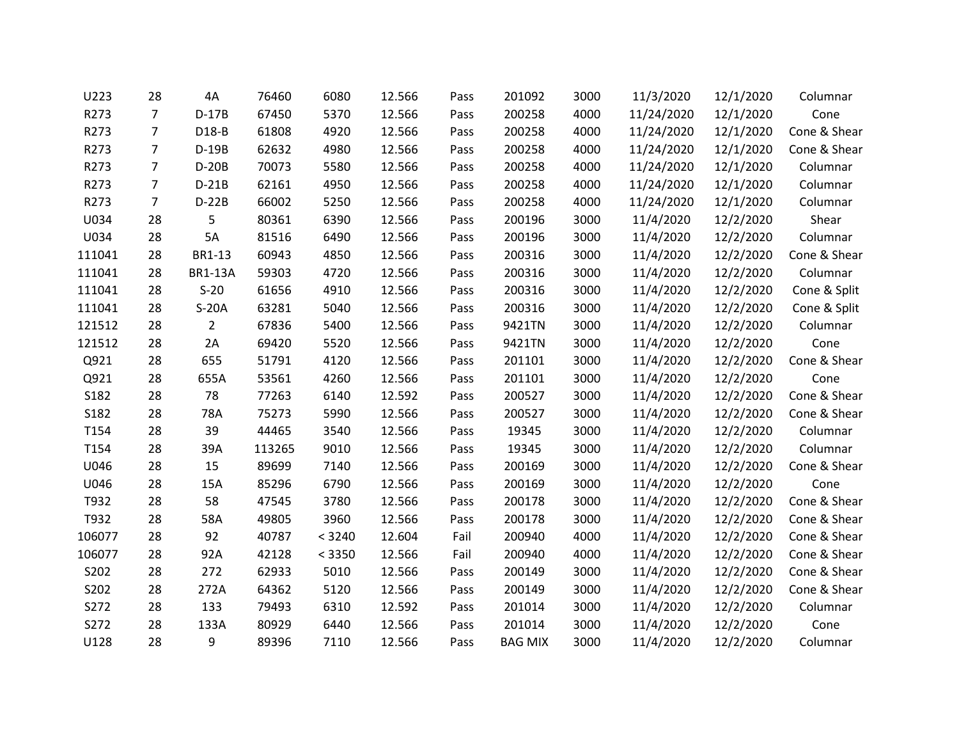| U223   | 28 | 4A             | 76460  | 6080   | 12.566 | Pass | 201092         | 3000 | 11/3/2020  | 12/1/2020 | Columnar     |
|--------|----|----------------|--------|--------|--------|------|----------------|------|------------|-----------|--------------|
| R273   | 7  | $D-17B$        | 67450  | 5370   | 12.566 | Pass | 200258         | 4000 | 11/24/2020 | 12/1/2020 | Cone         |
| R273   | 7  | D18-B          | 61808  | 4920   | 12.566 | Pass | 200258         | 4000 | 11/24/2020 | 12/1/2020 | Cone & Shear |
| R273   | 7  | $D-19B$        | 62632  | 4980   | 12.566 | Pass | 200258         | 4000 | 11/24/2020 | 12/1/2020 | Cone & Shear |
| R273   | 7  | $D-20B$        | 70073  | 5580   | 12.566 | Pass | 200258         | 4000 | 11/24/2020 | 12/1/2020 | Columnar     |
| R273   | 7  | $D-21B$        | 62161  | 4950   | 12.566 | Pass | 200258         | 4000 | 11/24/2020 | 12/1/2020 | Columnar     |
| R273   | 7  | $D-22B$        | 66002  | 5250   | 12.566 | Pass | 200258         | 4000 | 11/24/2020 | 12/1/2020 | Columnar     |
| U034   | 28 | 5              | 80361  | 6390   | 12.566 | Pass | 200196         | 3000 | 11/4/2020  | 12/2/2020 | Shear        |
| U034   | 28 | 5A             | 81516  | 6490   | 12.566 | Pass | 200196         | 3000 | 11/4/2020  | 12/2/2020 | Columnar     |
| 111041 | 28 | BR1-13         | 60943  | 4850   | 12.566 | Pass | 200316         | 3000 | 11/4/2020  | 12/2/2020 | Cone & Shear |
| 111041 | 28 | <b>BR1-13A</b> | 59303  | 4720   | 12.566 | Pass | 200316         | 3000 | 11/4/2020  | 12/2/2020 | Columnar     |
| 111041 | 28 | $S-20$         | 61656  | 4910   | 12.566 | Pass | 200316         | 3000 | 11/4/2020  | 12/2/2020 | Cone & Split |
| 111041 | 28 | $S-20A$        | 63281  | 5040   | 12.566 | Pass | 200316         | 3000 | 11/4/2020  | 12/2/2020 | Cone & Split |
| 121512 | 28 | $\overline{2}$ | 67836  | 5400   | 12.566 | Pass | 9421TN         | 3000 | 11/4/2020  | 12/2/2020 | Columnar     |
| 121512 | 28 | 2A             | 69420  | 5520   | 12.566 | Pass | 9421TN         | 3000 | 11/4/2020  | 12/2/2020 | Cone         |
| Q921   | 28 | 655            | 51791  | 4120   | 12.566 | Pass | 201101         | 3000 | 11/4/2020  | 12/2/2020 | Cone & Shear |
| Q921   | 28 | 655A           | 53561  | 4260   | 12.566 | Pass | 201101         | 3000 | 11/4/2020  | 12/2/2020 | Cone         |
| S182   | 28 | 78             | 77263  | 6140   | 12.592 | Pass | 200527         | 3000 | 11/4/2020  | 12/2/2020 | Cone & Shear |
| S182   | 28 | 78A            | 75273  | 5990   | 12.566 | Pass | 200527         | 3000 | 11/4/2020  | 12/2/2020 | Cone & Shear |
| T154   | 28 | 39             | 44465  | 3540   | 12.566 | Pass | 19345          | 3000 | 11/4/2020  | 12/2/2020 | Columnar     |
| T154   | 28 | 39A            | 113265 | 9010   | 12.566 | Pass | 19345          | 3000 | 11/4/2020  | 12/2/2020 | Columnar     |
| U046   | 28 | 15             | 89699  | 7140   | 12.566 | Pass | 200169         | 3000 | 11/4/2020  | 12/2/2020 | Cone & Shear |
| U046   | 28 | 15A            | 85296  | 6790   | 12.566 | Pass | 200169         | 3000 | 11/4/2020  | 12/2/2020 | Cone         |
| T932   | 28 | 58             | 47545  | 3780   | 12.566 | Pass | 200178         | 3000 | 11/4/2020  | 12/2/2020 | Cone & Shear |
| T932   | 28 | 58A            | 49805  | 3960   | 12.566 | Pass | 200178         | 3000 | 11/4/2020  | 12/2/2020 | Cone & Shear |
| 106077 | 28 | 92             | 40787  | < 3240 | 12.604 | Fail | 200940         | 4000 | 11/4/2020  | 12/2/2020 | Cone & Shear |
| 106077 | 28 | 92A            | 42128  | < 3350 | 12.566 | Fail | 200940         | 4000 | 11/4/2020  | 12/2/2020 | Cone & Shear |
| S202   | 28 | 272            | 62933  | 5010   | 12.566 | Pass | 200149         | 3000 | 11/4/2020  | 12/2/2020 | Cone & Shear |
| S202   | 28 | 272A           | 64362  | 5120   | 12.566 | Pass | 200149         | 3000 | 11/4/2020  | 12/2/2020 | Cone & Shear |
| S272   | 28 | 133            | 79493  | 6310   | 12.592 | Pass | 201014         | 3000 | 11/4/2020  | 12/2/2020 | Columnar     |
| S272   | 28 | 133A           | 80929  | 6440   | 12.566 | Pass | 201014         | 3000 | 11/4/2020  | 12/2/2020 | Cone         |
| U128   | 28 | 9              | 89396  | 7110   | 12.566 | Pass | <b>BAG MIX</b> | 3000 | 11/4/2020  | 12/2/2020 | Columnar     |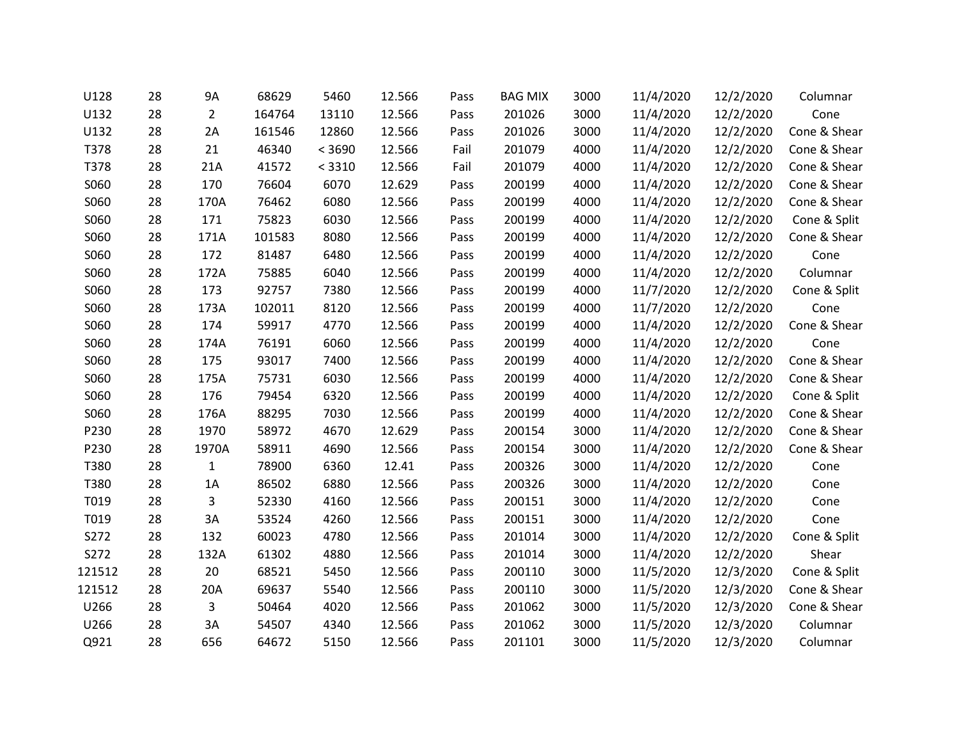| U128   | 28 | 9A             | 68629  | 5460   | 12.566 | Pass | <b>BAG MIX</b> | 3000 | 11/4/2020 | 12/2/2020 | Columnar     |
|--------|----|----------------|--------|--------|--------|------|----------------|------|-----------|-----------|--------------|
| U132   | 28 | $\overline{2}$ | 164764 | 13110  | 12.566 | Pass | 201026         | 3000 | 11/4/2020 | 12/2/2020 | Cone         |
| U132   | 28 | 2A             | 161546 | 12860  | 12.566 | Pass | 201026         | 3000 | 11/4/2020 | 12/2/2020 | Cone & Shear |
| T378   | 28 | 21             | 46340  | < 3690 | 12.566 | Fail | 201079         | 4000 | 11/4/2020 | 12/2/2020 | Cone & Shear |
| T378   | 28 | 21A            | 41572  | < 3310 | 12.566 | Fail | 201079         | 4000 | 11/4/2020 | 12/2/2020 | Cone & Shear |
| S060   | 28 | 170            | 76604  | 6070   | 12.629 | Pass | 200199         | 4000 | 11/4/2020 | 12/2/2020 | Cone & Shear |
| S060   | 28 | 170A           | 76462  | 6080   | 12.566 | Pass | 200199         | 4000 | 11/4/2020 | 12/2/2020 | Cone & Shear |
| S060   | 28 | 171            | 75823  | 6030   | 12.566 | Pass | 200199         | 4000 | 11/4/2020 | 12/2/2020 | Cone & Split |
| S060   | 28 | 171A           | 101583 | 8080   | 12.566 | Pass | 200199         | 4000 | 11/4/2020 | 12/2/2020 | Cone & Shear |
| S060   | 28 | 172            | 81487  | 6480   | 12.566 | Pass | 200199         | 4000 | 11/4/2020 | 12/2/2020 | Cone         |
| S060   | 28 | 172A           | 75885  | 6040   | 12.566 | Pass | 200199         | 4000 | 11/4/2020 | 12/2/2020 | Columnar     |
| S060   | 28 | 173            | 92757  | 7380   | 12.566 | Pass | 200199         | 4000 | 11/7/2020 | 12/2/2020 | Cone & Split |
| S060   | 28 | 173A           | 102011 | 8120   | 12.566 | Pass | 200199         | 4000 | 11/7/2020 | 12/2/2020 | Cone         |
| S060   | 28 | 174            | 59917  | 4770   | 12.566 | Pass | 200199         | 4000 | 11/4/2020 | 12/2/2020 | Cone & Shear |
| S060   | 28 | 174A           | 76191  | 6060   | 12.566 | Pass | 200199         | 4000 | 11/4/2020 | 12/2/2020 | Cone         |
| S060   | 28 | 175            | 93017  | 7400   | 12.566 | Pass | 200199         | 4000 | 11/4/2020 | 12/2/2020 | Cone & Shear |
| S060   | 28 | 175A           | 75731  | 6030   | 12.566 | Pass | 200199         | 4000 | 11/4/2020 | 12/2/2020 | Cone & Shear |
| S060   | 28 | 176            | 79454  | 6320   | 12.566 | Pass | 200199         | 4000 | 11/4/2020 | 12/2/2020 | Cone & Split |
| S060   | 28 | 176A           | 88295  | 7030   | 12.566 | Pass | 200199         | 4000 | 11/4/2020 | 12/2/2020 | Cone & Shear |
| P230   | 28 | 1970           | 58972  | 4670   | 12.629 | Pass | 200154         | 3000 | 11/4/2020 | 12/2/2020 | Cone & Shear |
| P230   | 28 | 1970A          | 58911  | 4690   | 12.566 | Pass | 200154         | 3000 | 11/4/2020 | 12/2/2020 | Cone & Shear |
| T380   | 28 | 1              | 78900  | 6360   | 12.41  | Pass | 200326         | 3000 | 11/4/2020 | 12/2/2020 | Cone         |
| T380   | 28 | 1A             | 86502  | 6880   | 12.566 | Pass | 200326         | 3000 | 11/4/2020 | 12/2/2020 | Cone         |
| T019   | 28 | 3              | 52330  | 4160   | 12.566 | Pass | 200151         | 3000 | 11/4/2020 | 12/2/2020 | Cone         |
| T019   | 28 | 3A             | 53524  | 4260   | 12.566 | Pass | 200151         | 3000 | 11/4/2020 | 12/2/2020 | Cone         |
| S272   | 28 | 132            | 60023  | 4780   | 12.566 | Pass | 201014         | 3000 | 11/4/2020 | 12/2/2020 | Cone & Split |
| S272   | 28 | 132A           | 61302  | 4880   | 12.566 | Pass | 201014         | 3000 | 11/4/2020 | 12/2/2020 | Shear        |
| 121512 | 28 | 20             | 68521  | 5450   | 12.566 | Pass | 200110         | 3000 | 11/5/2020 | 12/3/2020 | Cone & Split |
| 121512 | 28 | 20A            | 69637  | 5540   | 12.566 | Pass | 200110         | 3000 | 11/5/2020 | 12/3/2020 | Cone & Shear |
| U266   | 28 | 3              | 50464  | 4020   | 12.566 | Pass | 201062         | 3000 | 11/5/2020 | 12/3/2020 | Cone & Shear |
| U266   | 28 | 3A             | 54507  | 4340   | 12.566 | Pass | 201062         | 3000 | 11/5/2020 | 12/3/2020 | Columnar     |
| Q921   | 28 | 656            | 64672  | 5150   | 12.566 | Pass | 201101         | 3000 | 11/5/2020 | 12/3/2020 | Columnar     |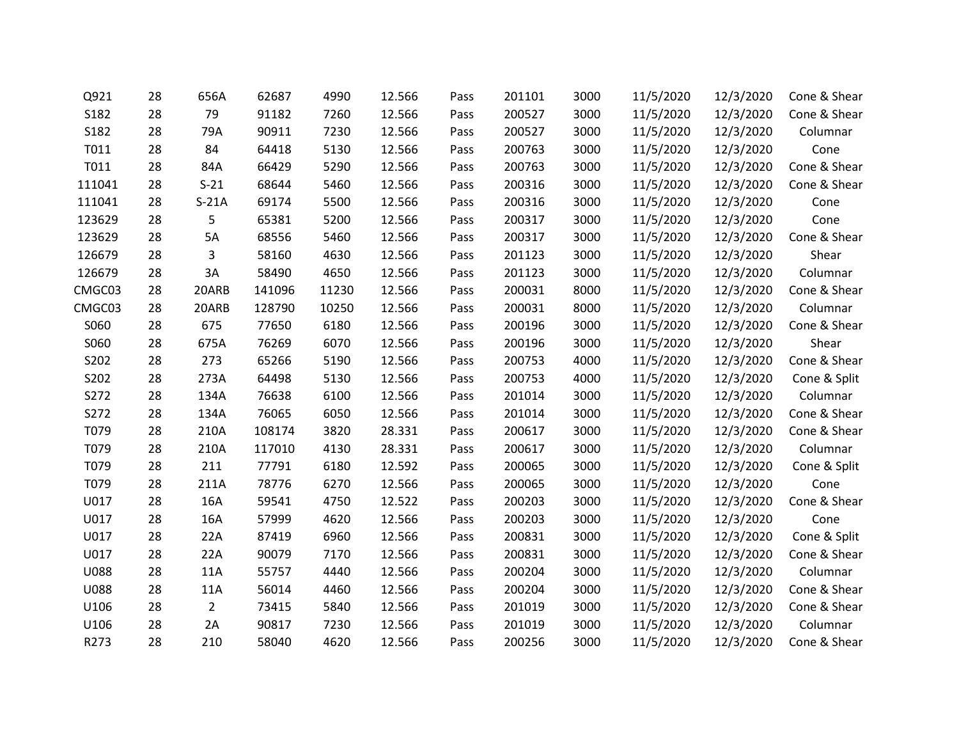| Q921        | 28 | 656A           | 62687  | 4990  | 12.566 | Pass | 201101 | 3000 | 11/5/2020 | 12/3/2020 | Cone & Shear |
|-------------|----|----------------|--------|-------|--------|------|--------|------|-----------|-----------|--------------|
| S182        | 28 | 79             | 91182  | 7260  | 12.566 | Pass | 200527 | 3000 | 11/5/2020 | 12/3/2020 | Cone & Shear |
| S182        | 28 | 79A            | 90911  | 7230  | 12.566 | Pass | 200527 | 3000 | 11/5/2020 | 12/3/2020 | Columnar     |
| T011        | 28 | 84             | 64418  | 5130  | 12.566 | Pass | 200763 | 3000 | 11/5/2020 | 12/3/2020 | Cone         |
| T011        | 28 | 84A            | 66429  | 5290  | 12.566 | Pass | 200763 | 3000 | 11/5/2020 | 12/3/2020 | Cone & Shear |
| 111041      | 28 | $S-21$         | 68644  | 5460  | 12.566 | Pass | 200316 | 3000 | 11/5/2020 | 12/3/2020 | Cone & Shear |
| 111041      | 28 | $S-21A$        | 69174  | 5500  | 12.566 | Pass | 200316 | 3000 | 11/5/2020 | 12/3/2020 | Cone         |
| 123629      | 28 | 5              | 65381  | 5200  | 12.566 | Pass | 200317 | 3000 | 11/5/2020 | 12/3/2020 | Cone         |
| 123629      | 28 | 5A             | 68556  | 5460  | 12.566 | Pass | 200317 | 3000 | 11/5/2020 | 12/3/2020 | Cone & Shear |
| 126679      | 28 | 3              | 58160  | 4630  | 12.566 | Pass | 201123 | 3000 | 11/5/2020 | 12/3/2020 | Shear        |
| 126679      | 28 | 3A             | 58490  | 4650  | 12.566 | Pass | 201123 | 3000 | 11/5/2020 | 12/3/2020 | Columnar     |
| CMGC03      | 28 | 20ARB          | 141096 | 11230 | 12.566 | Pass | 200031 | 8000 | 11/5/2020 | 12/3/2020 | Cone & Shear |
| CMGC03      | 28 | 20ARB          | 128790 | 10250 | 12.566 | Pass | 200031 | 8000 | 11/5/2020 | 12/3/2020 | Columnar     |
| S060        | 28 | 675            | 77650  | 6180  | 12.566 | Pass | 200196 | 3000 | 11/5/2020 | 12/3/2020 | Cone & Shear |
| S060        | 28 | 675A           | 76269  | 6070  | 12.566 | Pass | 200196 | 3000 | 11/5/2020 | 12/3/2020 | Shear        |
| S202        | 28 | 273            | 65266  | 5190  | 12.566 | Pass | 200753 | 4000 | 11/5/2020 | 12/3/2020 | Cone & Shear |
| S202        | 28 | 273A           | 64498  | 5130  | 12.566 | Pass | 200753 | 4000 | 11/5/2020 | 12/3/2020 | Cone & Split |
| S272        | 28 | 134A           | 76638  | 6100  | 12.566 | Pass | 201014 | 3000 | 11/5/2020 | 12/3/2020 | Columnar     |
| S272        | 28 | 134A           | 76065  | 6050  | 12.566 | Pass | 201014 | 3000 | 11/5/2020 | 12/3/2020 | Cone & Shear |
| T079        | 28 | 210A           | 108174 | 3820  | 28.331 | Pass | 200617 | 3000 | 11/5/2020 | 12/3/2020 | Cone & Shear |
| T079        | 28 | 210A           | 117010 | 4130  | 28.331 | Pass | 200617 | 3000 | 11/5/2020 | 12/3/2020 | Columnar     |
| T079        | 28 | 211            | 77791  | 6180  | 12.592 | Pass | 200065 | 3000 | 11/5/2020 | 12/3/2020 | Cone & Split |
| T079        | 28 | 211A           | 78776  | 6270  | 12.566 | Pass | 200065 | 3000 | 11/5/2020 | 12/3/2020 | Cone         |
| U017        | 28 | 16A            | 59541  | 4750  | 12.522 | Pass | 200203 | 3000 | 11/5/2020 | 12/3/2020 | Cone & Shear |
| U017        | 28 | 16A            | 57999  | 4620  | 12.566 | Pass | 200203 | 3000 | 11/5/2020 | 12/3/2020 | Cone         |
| U017        | 28 | 22A            | 87419  | 6960  | 12.566 | Pass | 200831 | 3000 | 11/5/2020 | 12/3/2020 | Cone & Split |
| U017        | 28 | 22A            | 90079  | 7170  | 12.566 | Pass | 200831 | 3000 | 11/5/2020 | 12/3/2020 | Cone & Shear |
| <b>U088</b> | 28 | 11A            | 55757  | 4440  | 12.566 | Pass | 200204 | 3000 | 11/5/2020 | 12/3/2020 | Columnar     |
| <b>U088</b> | 28 | 11A            | 56014  | 4460  | 12.566 | Pass | 200204 | 3000 | 11/5/2020 | 12/3/2020 | Cone & Shear |
| U106        | 28 | $\overline{2}$ | 73415  | 5840  | 12.566 | Pass | 201019 | 3000 | 11/5/2020 | 12/3/2020 | Cone & Shear |
| U106        | 28 | 2A             | 90817  | 7230  | 12.566 | Pass | 201019 | 3000 | 11/5/2020 | 12/3/2020 | Columnar     |
| R273        | 28 | 210            | 58040  | 4620  | 12.566 | Pass | 200256 | 3000 | 11/5/2020 | 12/3/2020 | Cone & Shear |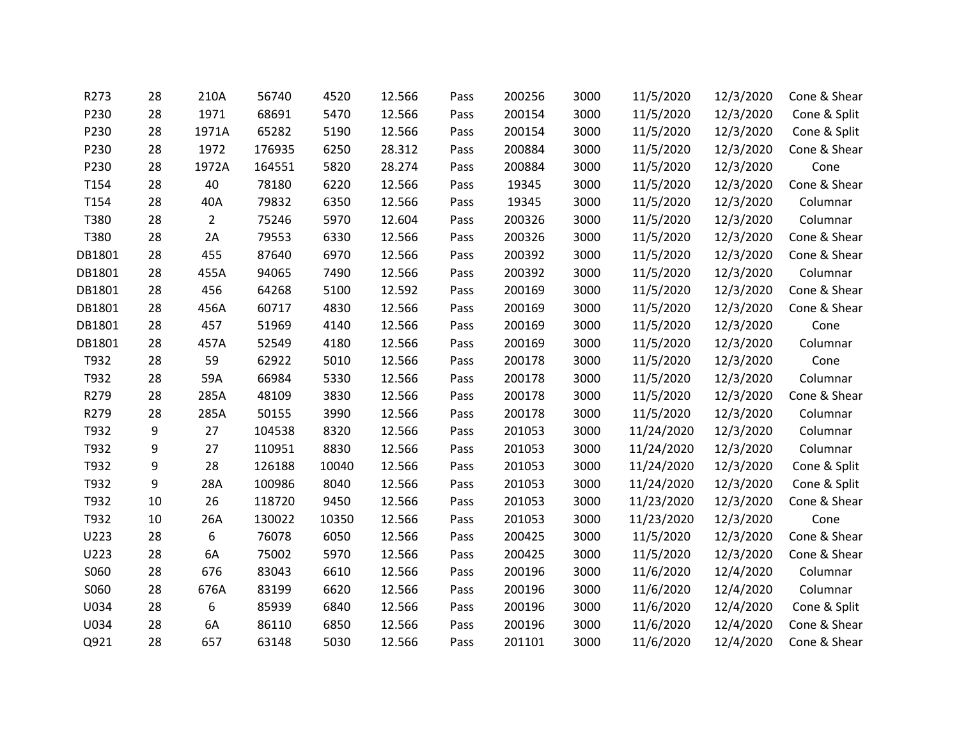| R273   | 28 | 210A           | 56740  | 4520  | 12.566 | Pass | 200256 | 3000 | 11/5/2020  | 12/3/2020 | Cone & Shear |
|--------|----|----------------|--------|-------|--------|------|--------|------|------------|-----------|--------------|
| P230   | 28 | 1971           | 68691  | 5470  | 12.566 | Pass | 200154 | 3000 | 11/5/2020  | 12/3/2020 | Cone & Split |
| P230   | 28 | 1971A          | 65282  | 5190  | 12.566 | Pass | 200154 | 3000 | 11/5/2020  | 12/3/2020 | Cone & Split |
| P230   | 28 | 1972           | 176935 | 6250  | 28.312 | Pass | 200884 | 3000 | 11/5/2020  | 12/3/2020 | Cone & Shear |
| P230   | 28 | 1972A          | 164551 | 5820  | 28.274 | Pass | 200884 | 3000 | 11/5/2020  | 12/3/2020 | Cone         |
| T154   | 28 | 40             | 78180  | 6220  | 12.566 | Pass | 19345  | 3000 | 11/5/2020  | 12/3/2020 | Cone & Shear |
| T154   | 28 | 40A            | 79832  | 6350  | 12.566 | Pass | 19345  | 3000 | 11/5/2020  | 12/3/2020 | Columnar     |
| T380   | 28 | $\overline{2}$ | 75246  | 5970  | 12.604 | Pass | 200326 | 3000 | 11/5/2020  | 12/3/2020 | Columnar     |
| T380   | 28 | 2A             | 79553  | 6330  | 12.566 | Pass | 200326 | 3000 | 11/5/2020  | 12/3/2020 | Cone & Shear |
| DB1801 | 28 | 455            | 87640  | 6970  | 12.566 | Pass | 200392 | 3000 | 11/5/2020  | 12/3/2020 | Cone & Shear |
| DB1801 | 28 | 455A           | 94065  | 7490  | 12.566 | Pass | 200392 | 3000 | 11/5/2020  | 12/3/2020 | Columnar     |
| DB1801 | 28 | 456            | 64268  | 5100  | 12.592 | Pass | 200169 | 3000 | 11/5/2020  | 12/3/2020 | Cone & Shear |
| DB1801 | 28 | 456A           | 60717  | 4830  | 12.566 | Pass | 200169 | 3000 | 11/5/2020  | 12/3/2020 | Cone & Shear |
| DB1801 | 28 | 457            | 51969  | 4140  | 12.566 | Pass | 200169 | 3000 | 11/5/2020  | 12/3/2020 | Cone         |
| DB1801 | 28 | 457A           | 52549  | 4180  | 12.566 | Pass | 200169 | 3000 | 11/5/2020  | 12/3/2020 | Columnar     |
| T932   | 28 | 59             | 62922  | 5010  | 12.566 | Pass | 200178 | 3000 | 11/5/2020  | 12/3/2020 | Cone         |
| T932   | 28 | 59A            | 66984  | 5330  | 12.566 | Pass | 200178 | 3000 | 11/5/2020  | 12/3/2020 | Columnar     |
| R279   | 28 | 285A           | 48109  | 3830  | 12.566 | Pass | 200178 | 3000 | 11/5/2020  | 12/3/2020 | Cone & Shear |
| R279   | 28 | 285A           | 50155  | 3990  | 12.566 | Pass | 200178 | 3000 | 11/5/2020  | 12/3/2020 | Columnar     |
| T932   | 9  | 27             | 104538 | 8320  | 12.566 | Pass | 201053 | 3000 | 11/24/2020 | 12/3/2020 | Columnar     |
| T932   | 9  | 27             | 110951 | 8830  | 12.566 | Pass | 201053 | 3000 | 11/24/2020 | 12/3/2020 | Columnar     |
| T932   | 9  | 28             | 126188 | 10040 | 12.566 | Pass | 201053 | 3000 | 11/24/2020 | 12/3/2020 | Cone & Split |
| T932   | 9  | 28A            | 100986 | 8040  | 12.566 | Pass | 201053 | 3000 | 11/24/2020 | 12/3/2020 | Cone & Split |
| T932   | 10 | 26             | 118720 | 9450  | 12.566 | Pass | 201053 | 3000 | 11/23/2020 | 12/3/2020 | Cone & Shear |
| T932   | 10 | 26A            | 130022 | 10350 | 12.566 | Pass | 201053 | 3000 | 11/23/2020 | 12/3/2020 | Cone         |
| U223   | 28 | 6              | 76078  | 6050  | 12.566 | Pass | 200425 | 3000 | 11/5/2020  | 12/3/2020 | Cone & Shear |
| U223   | 28 | 6A             | 75002  | 5970  | 12.566 | Pass | 200425 | 3000 | 11/5/2020  | 12/3/2020 | Cone & Shear |
| S060   | 28 | 676            | 83043  | 6610  | 12.566 | Pass | 200196 | 3000 | 11/6/2020  | 12/4/2020 | Columnar     |
| S060   | 28 | 676A           | 83199  | 6620  | 12.566 | Pass | 200196 | 3000 | 11/6/2020  | 12/4/2020 | Columnar     |
| U034   | 28 | 6              | 85939  | 6840  | 12.566 | Pass | 200196 | 3000 | 11/6/2020  | 12/4/2020 | Cone & Split |
| U034   | 28 | 6A             | 86110  | 6850  | 12.566 | Pass | 200196 | 3000 | 11/6/2020  | 12/4/2020 | Cone & Shear |
| Q921   | 28 | 657            | 63148  | 5030  | 12.566 | Pass | 201101 | 3000 | 11/6/2020  | 12/4/2020 | Cone & Shear |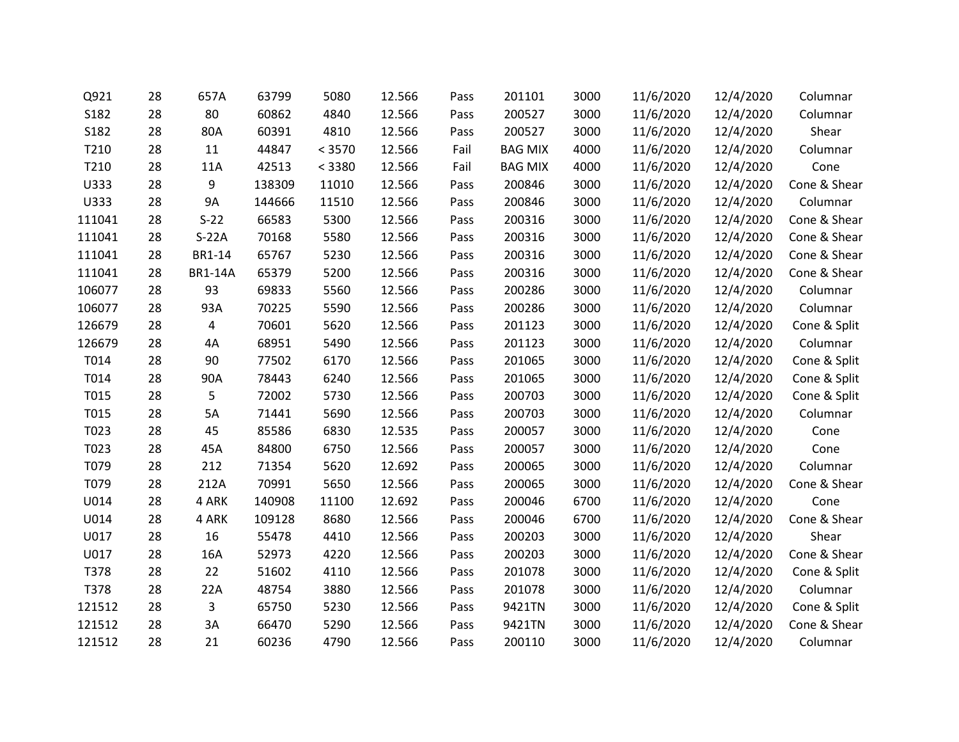| Q921   | 28 | 657A           | 63799  | 5080   | 12.566 | Pass | 201101         | 3000 | 11/6/2020 | 12/4/2020 | Columnar     |
|--------|----|----------------|--------|--------|--------|------|----------------|------|-----------|-----------|--------------|
| S182   | 28 | 80             | 60862  | 4840   | 12.566 | Pass | 200527         | 3000 | 11/6/2020 | 12/4/2020 | Columnar     |
| S182   | 28 | 80A            | 60391  | 4810   | 12.566 | Pass | 200527         | 3000 | 11/6/2020 | 12/4/2020 | Shear        |
| T210   | 28 | 11             | 44847  | < 3570 | 12.566 | Fail | <b>BAG MIX</b> | 4000 | 11/6/2020 | 12/4/2020 | Columnar     |
| T210   | 28 | 11A            | 42513  | < 3380 | 12.566 | Fail | <b>BAG MIX</b> | 4000 | 11/6/2020 | 12/4/2020 | Cone         |
| U333   | 28 | 9              | 138309 | 11010  | 12.566 | Pass | 200846         | 3000 | 11/6/2020 | 12/4/2020 | Cone & Shear |
| U333   | 28 | <b>9A</b>      | 144666 | 11510  | 12.566 | Pass | 200846         | 3000 | 11/6/2020 | 12/4/2020 | Columnar     |
| 111041 | 28 | $S-22$         | 66583  | 5300   | 12.566 | Pass | 200316         | 3000 | 11/6/2020 | 12/4/2020 | Cone & Shear |
| 111041 | 28 | $S-22A$        | 70168  | 5580   | 12.566 | Pass | 200316         | 3000 | 11/6/2020 | 12/4/2020 | Cone & Shear |
| 111041 | 28 | BR1-14         | 65767  | 5230   | 12.566 | Pass | 200316         | 3000 | 11/6/2020 | 12/4/2020 | Cone & Shear |
| 111041 | 28 | <b>BR1-14A</b> | 65379  | 5200   | 12.566 | Pass | 200316         | 3000 | 11/6/2020 | 12/4/2020 | Cone & Shear |
| 106077 | 28 | 93             | 69833  | 5560   | 12.566 | Pass | 200286         | 3000 | 11/6/2020 | 12/4/2020 | Columnar     |
| 106077 | 28 | 93A            | 70225  | 5590   | 12.566 | Pass | 200286         | 3000 | 11/6/2020 | 12/4/2020 | Columnar     |
| 126679 | 28 | 4              | 70601  | 5620   | 12.566 | Pass | 201123         | 3000 | 11/6/2020 | 12/4/2020 | Cone & Split |
| 126679 | 28 | 4A             | 68951  | 5490   | 12.566 | Pass | 201123         | 3000 | 11/6/2020 | 12/4/2020 | Columnar     |
| T014   | 28 | 90             | 77502  | 6170   | 12.566 | Pass | 201065         | 3000 | 11/6/2020 | 12/4/2020 | Cone & Split |
| T014   | 28 | 90A            | 78443  | 6240   | 12.566 | Pass | 201065         | 3000 | 11/6/2020 | 12/4/2020 | Cone & Split |
| T015   | 28 | 5              | 72002  | 5730   | 12.566 | Pass | 200703         | 3000 | 11/6/2020 | 12/4/2020 | Cone & Split |
| T015   | 28 | 5A             | 71441  | 5690   | 12.566 | Pass | 200703         | 3000 | 11/6/2020 | 12/4/2020 | Columnar     |
| T023   | 28 | 45             | 85586  | 6830   | 12.535 | Pass | 200057         | 3000 | 11/6/2020 | 12/4/2020 | Cone         |
| T023   | 28 | 45A            | 84800  | 6750   | 12.566 | Pass | 200057         | 3000 | 11/6/2020 | 12/4/2020 | Cone         |
| T079   | 28 | 212            | 71354  | 5620   | 12.692 | Pass | 200065         | 3000 | 11/6/2020 | 12/4/2020 | Columnar     |
| T079   | 28 | 212A           | 70991  | 5650   | 12.566 | Pass | 200065         | 3000 | 11/6/2020 | 12/4/2020 | Cone & Shear |
| U014   | 28 | 4 ARK          | 140908 | 11100  | 12.692 | Pass | 200046         | 6700 | 11/6/2020 | 12/4/2020 | Cone         |
| U014   | 28 | 4 ARK          | 109128 | 8680   | 12.566 | Pass | 200046         | 6700 | 11/6/2020 | 12/4/2020 | Cone & Shear |
| U017   | 28 | 16             | 55478  | 4410   | 12.566 | Pass | 200203         | 3000 | 11/6/2020 | 12/4/2020 | Shear        |
| U017   | 28 | 16A            | 52973  | 4220   | 12.566 | Pass | 200203         | 3000 | 11/6/2020 | 12/4/2020 | Cone & Shear |
| T378   | 28 | 22             | 51602  | 4110   | 12.566 | Pass | 201078         | 3000 | 11/6/2020 | 12/4/2020 | Cone & Split |
| T378   | 28 | 22A            | 48754  | 3880   | 12.566 | Pass | 201078         | 3000 | 11/6/2020 | 12/4/2020 | Columnar     |
| 121512 | 28 | 3              | 65750  | 5230   | 12.566 | Pass | 9421TN         | 3000 | 11/6/2020 | 12/4/2020 | Cone & Split |
| 121512 | 28 | 3A             | 66470  | 5290   | 12.566 | Pass | 9421TN         | 3000 | 11/6/2020 | 12/4/2020 | Cone & Shear |
| 121512 | 28 | 21             | 60236  | 4790   | 12.566 | Pass | 200110         | 3000 | 11/6/2020 | 12/4/2020 | Columnar     |